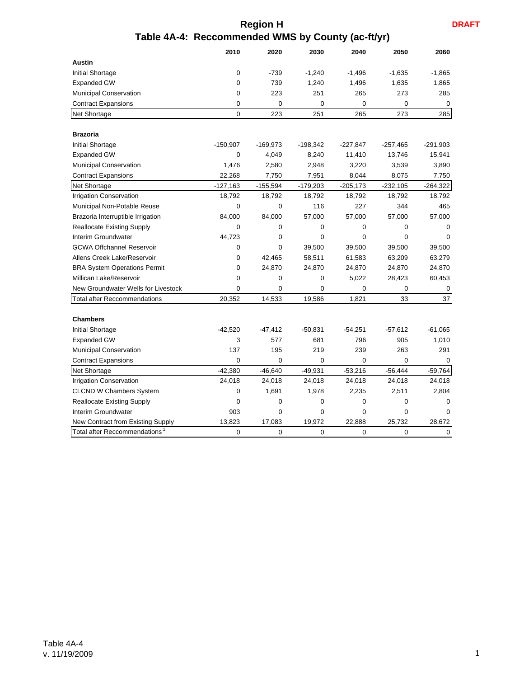**DRAFT**

## **Region H Table 4A-4: Reccommended WMS by County (ac-ft/yr)**

|                                           | 2010           | 2020           | 2030        | 2040        | 2050        | 2060       |
|-------------------------------------------|----------------|----------------|-------------|-------------|-------------|------------|
| <b>Austin</b>                             |                |                |             |             |             |            |
| Initial Shortage                          | $\overline{0}$ | $-739$         | $-1,240$    | $-1,496$    | $-1,635$    | $-1,865$   |
| <b>Expanded GW</b>                        | $\mathbf 0$    | 739            | 1,240       | 1,496       | 1,635       | 1,865      |
| Municipal Conservation                    | $\mathbf 0$    | 223            | 251         | 265         | 273         | 285        |
| <b>Contract Expansions</b>                | 0              | 0              | $\mathbf 0$ | 0           | 0           | 0          |
| Net Shortage                              | $\mathbf 0$    | 223            | 251         | 265         | 273         | 285        |
| <b>Brazoria</b>                           |                |                |             |             |             |            |
| Initial Shortage                          | $-150,907$     | $-169,973$     | $-198,342$  | $-227,847$  | $-257,465$  | $-291,903$ |
| <b>Expanded GW</b>                        | $\mathbf 0$    | 4,049          | 8,240       | 11,410      | 13,746      | 15,941     |
| Municipal Conservation                    | 1,476          | 2,580          | 2,948       | 3,220       | 3,539       | 3,890      |
| <b>Contract Expansions</b>                | 22,268         | 7,750          | 7,951       | 8,044       | 8,075       | 7,750      |
| Net Shortage                              | $-127,163$     | $-155,594$     | $-179,203$  | $-205,173$  | $-232,105$  | $-264,322$ |
| <b>Irrigation Conservation</b>            | 18,792         | 18,792         | 18,792      | 18,792      | 18,792      | 18,792     |
| Municipal Non-Potable Reuse               | $\mathbf 0$    | 0              | 116         | 227         | 344         | 465        |
| Brazoria Interruptible Irrigation         | 84,000         | 84,000         | 57,000      | 57,000      | 57,000      | 57,000     |
| <b>Reallocate Existing Supply</b>         | 0              | 0              | $\mathbf 0$ | 0           | 0           | 0          |
| Interim Groundwater                       | 44,723         | 0              | $\Omega$    | $\Omega$    | $\Omega$    | $\Omega$   |
| <b>GCWA Offchannel Reservoir</b>          | $\mathbf 0$    | 0              | 39,500      | 39,500      | 39,500      | 39,500     |
| Allens Creek Lake/Reservoir               | 0              | 42,465         | 58,511      | 61,583      | 63,209      | 63,279     |
| <b>BRA System Operations Permit</b>       | $\mathbf 0$    | 24,870         | 24,870      | 24,870      | 24,870      | 24,870     |
| Millican Lake/Reservoir                   | $\mathbf 0$    | 0              | 0           | 5,022       | 28,423      | 60,453     |
| New Groundwater Wells for Livestock       | $\mathbf 0$    | 0              | $\mathbf 0$ | 0           | $\mathbf 0$ | 0          |
| <b>Total after Reccommendations</b>       | 20,352         | 14,533         | 19,586      | 1,821       | 33          | 37         |
| <b>Chambers</b>                           |                |                |             |             |             |            |
| <b>Initial Shortage</b>                   | $-42,520$      | $-47,412$      | -50,831     | $-54,251$   | $-57,612$   | $-61,065$  |
| <b>Expanded GW</b>                        | 3              | 577            | 681         | 796         | 905         | 1,010      |
| <b>Municipal Conservation</b>             | 137            | 195            | 219         | 239         | 263         | 291        |
| <b>Contract Expansions</b>                | 0              | 0              | $\mathbf 0$ | $\mathbf 0$ | 0           | $\Omega$   |
| Net Shortage                              | $-42,380$      | $-46,640$      | $-49,931$   | $-53,216$   | $-56,444$   | $-59,764$  |
| <b>Irrigation Conservation</b>            | 24,018         | 24,018         | 24,018      | 24,018      | 24,018      | 24,018     |
| <b>CLCND W Chambers System</b>            | 0              | 1,691          | 1,978       | 2,235       | 2,511       | 2,804      |
| <b>Reallocate Existing Supply</b>         | $\mathbf 0$    | 0              | 0           | $\mathbf 0$ | 0           | $\Omega$   |
| Interim Groundwater                       | 903            | 0              | 0           | 0           | 0           | $\Omega$   |
| New Contract from Existing Supply         | 13,823         | 17,083         | 19,972      | 22,888      | 25,732      | 28,672     |
| Total after Reccommendations <sup>1</sup> | $\overline{0}$ | $\overline{0}$ | $\Omega$    | $\Omega$    | $\Omega$    | $\Omega$   |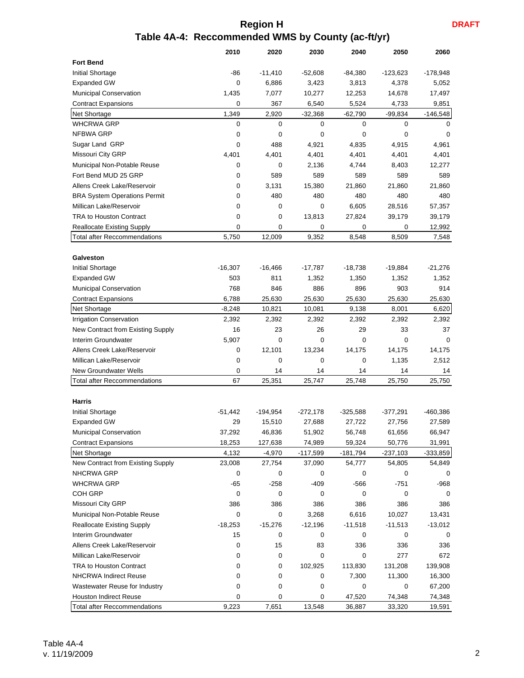## **Region H Table 4A-4: Reccommended WMS by County (ac-ft/yr)**

|                                     | 2010        | 2020       | 2030        | 2040        | 2050        | 2060        |
|-------------------------------------|-------------|------------|-------------|-------------|-------------|-------------|
| <b>Fort Bend</b>                    |             |            |             |             |             |             |
| Initial Shortage                    | -86         | $-11,410$  | $-52,608$   | $-84,380$   | $-123,623$  | -178,948    |
| <b>Expanded GW</b>                  | 0           | 6,886      | 3,423       | 3,813       | 4,378       | 5,052       |
| Municipal Conservation              | 1,435       | 7,077      | 10,277      | 12,253      | 14,678      | 17,497      |
| <b>Contract Expansions</b>          | 0           | 367        | 6,540       | 5,524       | 4,733       | 9,851       |
| Net Shortage                        | 1,349       | 2,920      | $-32,368$   | $-62,790$   | $-99,834$   | $-146,548$  |
| <b>WHCRWA GRP</b>                   | $\mathbf 0$ | 0          | $\mathbf 0$ | 0           | $\Omega$    | $\Omega$    |
| NFBWA GRP                           | 0           | 0          | 0           | $\mathbf 0$ | $\mathbf 0$ | $\mathbf 0$ |
| Sugar Land GRP                      | 0           | 488        | 4,921       | 4,835       | 4,915       | 4,961       |
| Missouri City GRP                   | 4,401       | 4,401      | 4,401       | 4,401       | 4,401       | 4,401       |
| Municipal Non-Potable Reuse         | 0           | 0          | 2,136       | 4,744       | 8,403       | 12,277      |
| Fort Bend MUD 25 GRP                | 0           | 589        | 589         | 589         | 589         | 589         |
| Allens Creek Lake/Reservoir         | 0           | 3,131      | 15,380      | 21,860      | 21,860      | 21,860      |
| <b>BRA System Operations Permit</b> | 0           | 480        | 480         | 480         | 480         | 480         |
| Millican Lake/Reservoir             | 0           | 0          | 0           | 6,605       | 28,516      | 57,357      |
| <b>TRA to Houston Contract</b>      | 0           | 0          | 13,813      | 27,824      | 39,179      | 39,179      |
| <b>Reallocate Existing Supply</b>   | $\mathbf 0$ | 0          | 0           | 0           | $\mathbf 0$ | 12,992      |
| <b>Total after Reccommendations</b> | 5,750       | 12,009     | 9,352       | 8,548       | 8,509       | 7,548       |
|                                     |             |            |             |             |             |             |
| Galveston                           |             |            |             |             |             |             |
| Initial Shortage                    | $-16,307$   | $-16,466$  | $-17,787$   | $-18,738$   | $-19,884$   | $-21,276$   |
| <b>Expanded GW</b>                  | 503         | 811        | 1,352       | 1,350       | 1,352       | 1,352       |
| Municipal Conservation              | 768         |            | 886         |             | 903         | 914         |
|                                     |             | 846        |             | 896         |             |             |
| <b>Contract Expansions</b>          | 6,788       | 25,630     | 25,630      | 25,630      | 25,630      | 25,630      |
| Net Shortage                        | $-8,248$    | 10,821     | 10,081      | 9,138       | 8,001       | 6,620       |
| <b>Irrigation Conservation</b>      | 2,392       | 2,392      | 2,392       | 2,392       | 2,392       | 2,392       |
| New Contract from Existing Supply   | 16          | 23         | 26          | 29          | 33          | 37          |
| Interim Groundwater                 | 5,907       | 0          | 0           | $\mathbf 0$ | $\mathbf 0$ | 0           |
| Allens Creek Lake/Reservoir         | 0           | 12,101     | 13,234      | 14,175      | 14,175      | 14,175      |
| Millican Lake/Reservoir             | 0           | 0          | 0           | $\mathbf 0$ | 1,135       | 2,512       |
| <b>New Groundwater Wells</b>        | 0           | 14         | 14          | 14          | 14          | 14          |
| <b>Total after Reccommendations</b> | 67          | 25,351     | 25,747      | 25,748      | 25,750      | 25,750      |
|                                     |             |            |             |             |             |             |
| <b>Harris</b>                       |             |            |             |             |             |             |
| Initial Shortage                    | $-51,442$   | $-194,954$ | $-272,178$  | $-325,588$  | $-377,291$  | -460,386    |
| <b>Expanded GW</b>                  | 29          | 15,510     | 27,688      | 27,722      | 27,756      | 27,589      |
| Municipal Conservation              | 37,292      | 46,836     | 51,902      | 56,748      | 61,656      | 66,947      |
| <b>Contract Expansions</b>          | 18,253      | 127,638    | 74,989      | 59,324      | 50,776      | 31,991      |
| Net Shortage                        | 4,132       | $-4,970$   | $-117,599$  | $-181,794$  | $-237,103$  | $-333,859$  |
| New Contract from Existing Supply   | 23,008      | 27,754     | 37,090      | 54,777      | 54,805      | 54,849      |
| NHCRWA GRP                          | 0           | 0          | 0           | 0           | 0           | 0           |
| <b>WHCRWA GRP</b>                   | -65         | $-258$     | -409        | $-566$      | $-751$      | $-968$      |
| <b>COH GRP</b>                      | 0           | 0          | 0           | 0           | 0           | 0           |
| Missouri City GRP                   | 386         | 386        | 386         | 386         | 386         | 386         |
| Municipal Non-Potable Reuse         | 0           | 0          | 3,268       | 6,616       | 10,027      | 13,431      |
| <b>Reallocate Existing Supply</b>   | $-18,253$   | $-15,276$  | $-12,196$   | $-11,518$   | $-11,513$   | $-13,012$   |
| Interim Groundwater                 | 15          | 0          | 0           | 0           | 0           | 0           |
| Allens Creek Lake/Reservoir         | 0           | 15         | 83          | 336         | 336         | 336         |
| Millican Lake/Reservoir             | 0           | 0          | 0           | 0           | 277         | 672         |
| TRA to Houston Contract             | 0           | 0          | 102,925     | 113,830     | 131,208     | 139,908     |
| <b>NHCRWA Indirect Reuse</b>        | 0           | 0          | 0           | 7,300       | 11,300      | 16,300      |
| Wastewater Reuse for Industry       | 0           | 0          | 0           | 0           | 0           | 67,200      |
| <b>Houston Indirect Reuse</b>       | 0           | 0          | 0           | 47,520      | 74,348      | 74,348      |
| <b>Total after Reccommendations</b> | 9,223       | 7,651      | 13,548      | 36,887      | 33,320      | 19,591      |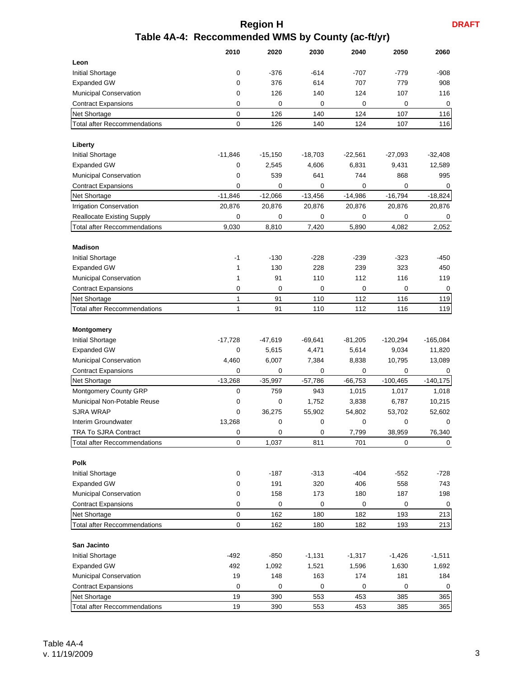## **Region H Table 4A-4: Reccommended WMS by County (ac-ft/yr)**

|                                     | 2010      | 2020      | 2030      | 2040      | 2050       | 2060        |
|-------------------------------------|-----------|-----------|-----------|-----------|------------|-------------|
| Leon                                |           |           |           |           |            |             |
| Initial Shortage                    | 0         | $-376$    | $-614$    | $-707$    | $-779$     | $-908$      |
| <b>Expanded GW</b>                  | 0         | 376       | 614       | 707       | 779        | 908         |
| Municipal Conservation              | 0         | 126       | 140       | 124       | 107        | 116         |
| <b>Contract Expansions</b>          | 0         | 0         | 0         | 0         | 0          | 0           |
| Net Shortage                        | 0         | 126       | 140       | 124       | 107        | 116         |
| <b>Total after Reccommendations</b> | 0         | 126       | 140       | 124       | 107        | 116         |
| Liberty                             |           |           |           |           |            |             |
| Initial Shortage                    | $-11,846$ | $-15,150$ | $-18,703$ | $-22,561$ | $-27,093$  | $-32,408$   |
| <b>Expanded GW</b>                  | 0         | 2,545     | 4,606     | 6,831     | 9,431      | 12,589      |
| Municipal Conservation              | 0         | 539       | 641       | 744       | 868        | 995         |
| <b>Contract Expansions</b>          | 0         | 0         | 0         | 0         | 0          | $\mathbf 0$ |
| Net Shortage                        | $-11,846$ | $-12,066$ | $-13,456$ | $-14,986$ | $-16,794$  | $-18,824$   |
| <b>Irrigation Conservation</b>      | 20,876    | 20,876    | 20,876    | 20,876    | 20,876     | 20,876      |
| <b>Reallocate Existing Supply</b>   | 0         | 0         | 0         | 0         | 0          | 0           |
| <b>Total after Reccommendations</b> | 9,030     | 8,810     | 7,420     | 5,890     | 4,082      | 2,052       |
| <b>Madison</b>                      |           |           |           |           |            |             |
| Initial Shortage                    | -1        | $-130$    | $-228$    | $-239$    | $-323$     | $-450$      |
| <b>Expanded GW</b>                  | 1         | 130       | 228       | 239       | 323        | 450         |
| Municipal Conservation              | 1         | 91        | 110       | 112       | 116        | 119         |
| <b>Contract Expansions</b>          | 0         | 0         | 0         | 0         | 0          | 0           |
| Net Shortage                        | 1         | 91        | 110       | 112       | 116        | 119         |
| <b>Total after Reccommendations</b> | 1         | 91        | 110       | 112       | 116        | 119         |
|                                     |           |           |           |           |            |             |
| <b>Montgomery</b>                   |           |           |           |           |            |             |
| Initial Shortage                    | $-17,728$ | -47,619   | -69,641   | $-81,205$ | -120,294   | $-165,084$  |
| <b>Expanded GW</b>                  | 0         | 5,615     | 4,471     | 5,614     | 9,034      | 11,820      |
| Municipal Conservation              | 4,460     | 6,007     | 7,384     | 8,838     | 10,795     | 13,089      |
| <b>Contract Expansions</b>          | 0         | 0         | 0         | 0         | 0          | 0           |
| Net Shortage                        | $-13,268$ | $-35,997$ | $-57,786$ | $-66,753$ | $-100,465$ | $-140,175$  |
| Montgomery County GRP               | 0         | 759       | 943       | 1,015     | 1,017      | 1,018       |
| Municipal Non-Potable Reuse         | 0         | 0         | 1,752     | 3,838     | 6,787      | 10,215      |
| <b>SJRA WRAP</b>                    | 0         | 36,275    | 55,902    | 54,802    | 53,702     | 52,602      |
| Interim Groundwater                 | 13,268    | 0         | 0         | 0         | 0          | 0           |
| TRA To SJRA Contract                | 0         | 0         | 0         | 7,799     | 38,959     | 76,340      |
| <b>Total after Reccommendations</b> | 0         | 1,037     | 811       | 701       | 0          | 0           |
|                                     |           |           |           |           |            |             |
| Polk                                |           |           |           |           |            |             |
| Initial Shortage                    | 0         | $-187$    | $-313$    | -404      | $-552$     | -728        |
| <b>Expanded GW</b>                  | 0         | 191       | 320       | 406       | 558        | 743         |
| Municipal Conservation              | 0         | 158       | 173       | 180       | 187        | 198         |
| <b>Contract Expansions</b>          | 0         | 0         | 0         | 0         | 0          | 0           |
| Net Shortage                        | 0         | 162       | 180       | 182       | 193        | 213         |
| Total after Reccommendations        | 0         | 162       | 180       | 182       | 193        | 213         |
|                                     |           |           |           |           |            |             |
| San Jacinto                         |           |           |           |           |            |             |
| Initial Shortage                    | $-492$    | $-850$    | $-1,131$  | $-1,317$  | $-1,426$   | $-1,511$    |
| <b>Expanded GW</b>                  | 492       | 1,092     | 1,521     | 1,596     | 1,630      | 1,692       |
| Municipal Conservation              | 19        | 148       | 163       | 174       | 181        | 184         |
| <b>Contract Expansions</b>          | 0         | 0         | 0         | 0         | 0          | 0           |
| Net Shortage                        | 19        | 390       | 553       | 453       | 385        | 365         |
| <b>Total after Reccommendations</b> | 19        | 390       | 553       | 453       | 385        | 365         |